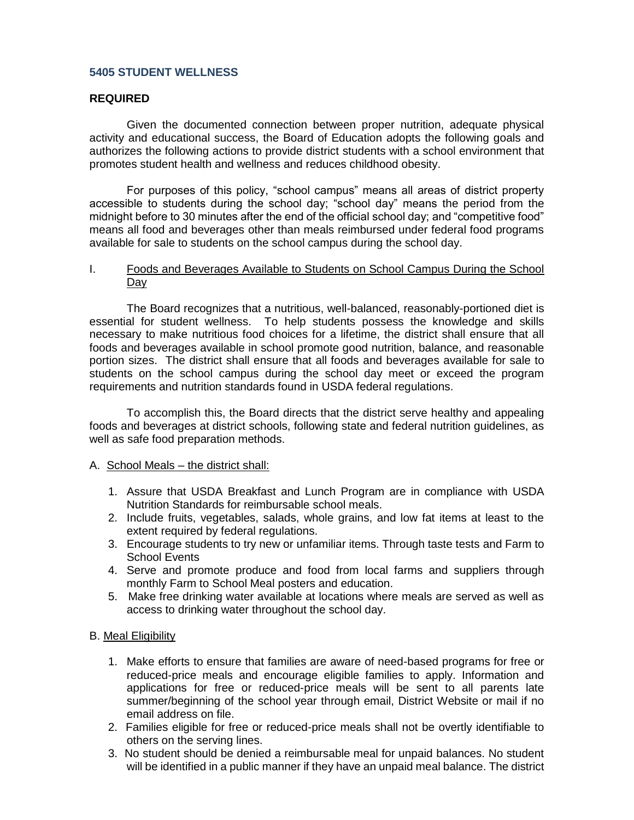#### **5405 STUDENT WELLNESS**

#### **REQUIRED**

Given the documented connection between proper nutrition, adequate physical activity and educational success, the Board of Education adopts the following goals and authorizes the following actions to provide district students with a school environment that promotes student health and wellness and reduces childhood obesity.

For purposes of this policy, "school campus" means all areas of district property accessible to students during the school day; "school day" means the period from the midnight before to 30 minutes after the end of the official school day; and "competitive food" means all food and beverages other than meals reimbursed under federal food programs available for sale to students on the school campus during the school day.

#### I. Foods and Beverages Available to Students on School Campus During the School Day

The Board recognizes that a nutritious, well-balanced, reasonably-portioned diet is essential for student wellness. To help students possess the knowledge and skills necessary to make nutritious food choices for a lifetime, the district shall ensure that all foods and beverages available in school promote good nutrition, balance, and reasonable portion sizes. The district shall ensure that all foods and beverages available for sale to students on the school campus during the school day meet or exceed the program requirements and nutrition standards found in USDA federal regulations.

To accomplish this, the Board directs that the district serve healthy and appealing foods and beverages at district schools, following state and federal nutrition guidelines, as well as safe food preparation methods.

#### A. School Meals – the district shall:

- 1. Assure that USDA Breakfast and Lunch Program are in compliance with USDA Nutrition Standards for reimbursable school meals.
- 2. Include fruits, vegetables, salads, whole grains, and low fat items at least to the extent required by federal regulations.
- 3. Encourage students to try new or unfamiliar items. Through taste tests and Farm to School Events
- 4. Serve and promote produce and food from local farms and suppliers through monthly Farm to School Meal posters and education.
- 5. Make free drinking water available at locations where meals are served as well as access to drinking water throughout the school day.

### B. Meal Eligibility

- 1. Make efforts to ensure that families are aware of need-based programs for free or reduced-price meals and encourage eligible families to apply. Information and applications for free or reduced-price meals will be sent to all parents late summer/beginning of the school year through email, District Website or mail if no email address on file.
- 2. Families eligible for free or reduced-price meals shall not be overtly identifiable to others on the serving lines.
- 3. No student should be denied a reimbursable meal for unpaid balances. No student will be identified in a public manner if they have an unpaid meal balance. The district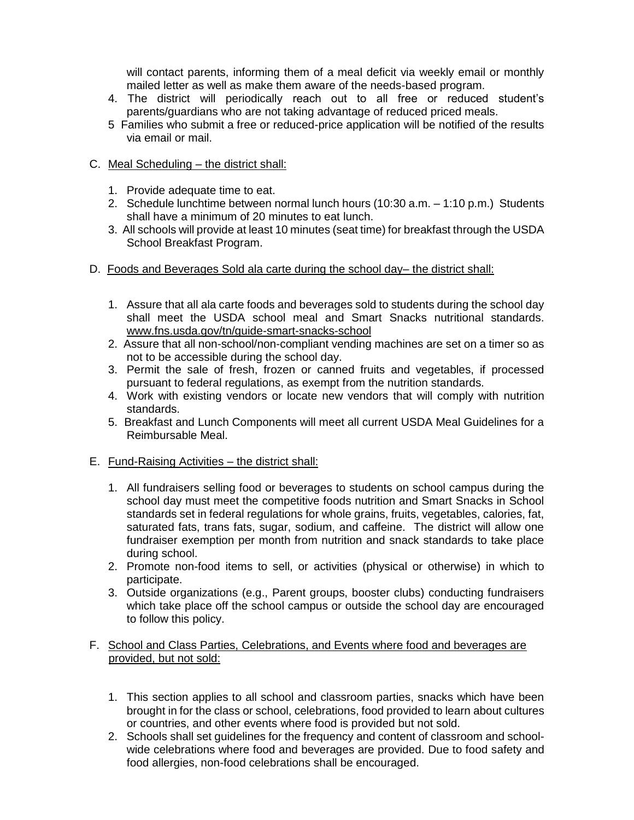will contact parents, informing them of a meal deficit via weekly email or monthly mailed letter as well as make them aware of the needs-based program.

- 4. The district will periodically reach out to all free or reduced student's parents/guardians who are not taking advantage of reduced priced meals.
- 5 Families who submit a free or reduced-price application will be notified of the results via email or mail.
- C. Meal Scheduling the district shall:
	- 1. Provide adequate time to eat.
	- 2. Schedule lunchtime between normal lunch hours (10:30 a.m. 1:10 p.m.) Students shall have a minimum of 20 minutes to eat lunch.
	- 3. All schools will provide at least 10 minutes (seat time) for breakfast through the USDA School Breakfast Program.
- D. Foods and Beverages Sold ala carte during the school day– the district shall:
	- 1. Assure that all ala carte foods and beverages sold to students during the school day shall meet the USDA school meal and Smart Snacks nutritional standards. [www.fns.usda.gov/tn/guide-smart-snacks-school](http://www.fns.usda.gov/tn/guide-smart-snacks-school)
	- 2. Assure that all non-school/non-compliant vending machines are set on a timer so as not to be accessible during the school day.
	- 3. Permit the sale of fresh, frozen or canned fruits and vegetables, if processed pursuant to federal regulations, as exempt from the nutrition standards.
	- 4. Work with existing vendors or locate new vendors that will comply with nutrition standards.
	- 5. Breakfast and Lunch Components will meet all current USDA Meal Guidelines for a Reimbursable Meal.
- E. Fund-Raising Activities the district shall:
	- 1. All fundraisers selling food or beverages to students on school campus during the school day must meet the competitive foods nutrition and Smart Snacks in School standards set in federal regulations for whole grains, fruits, vegetables, calories, fat, saturated fats, trans fats, sugar, sodium, and caffeine. The district will allow one fundraiser exemption per month from nutrition and snack standards to take place during school.
	- 2. Promote non-food items to sell, or activities (physical or otherwise) in which to participate.
	- 3. Outside organizations (e.g., Parent groups, booster clubs) conducting fundraisers which take place off the school campus or outside the school day are encouraged to follow this policy.

## F. School and Class Parties, Celebrations, and Events where food and beverages are provided, but not sold:

- 1. This section applies to all school and classroom parties, snacks which have been brought in for the class or school, celebrations, food provided to learn about cultures or countries, and other events where food is provided but not sold.
- 2. Schools shall set guidelines for the frequency and content of classroom and schoolwide celebrations where food and beverages are provided. Due to food safety and food allergies, non-food celebrations shall be encouraged.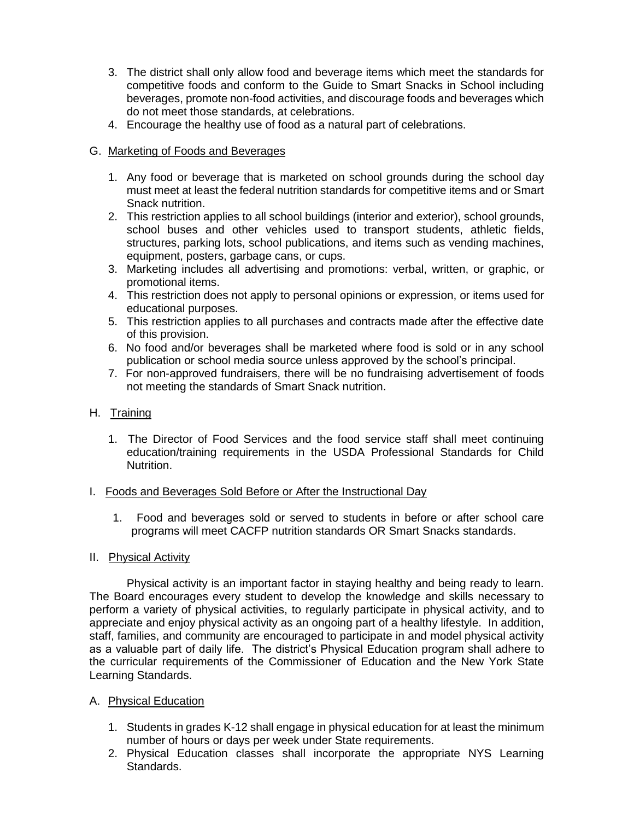- 3. The district shall only allow food and beverage items which meet the standards for competitive foods and conform to the Guide to Smart Snacks in School including beverages, promote non-food activities, and discourage foods and beverages which do not meet those standards, at celebrations.
- 4. Encourage the healthy use of food as a natural part of celebrations.

# G. Marketing of Foods and Beverages

- 1. Any food or beverage that is marketed on school grounds during the school day must meet at least the federal nutrition standards for competitive items and or Smart Snack nutrition.
- 2. This restriction applies to all school buildings (interior and exterior), school grounds, school buses and other vehicles used to transport students, athletic fields, structures, parking lots, school publications, and items such as vending machines, equipment, posters, garbage cans, or cups.
- 3. Marketing includes all advertising and promotions: verbal, written, or graphic, or promotional items.
- 4. This restriction does not apply to personal opinions or expression, or items used for educational purposes.
- 5. This restriction applies to all purchases and contracts made after the effective date of this provision.
- 6. No food and/or beverages shall be marketed where food is sold or in any school publication or school media source unless approved by the school's principal.
- 7. For non-approved fundraisers, there will be no fundraising advertisement of foods not meeting the standards of Smart Snack nutrition.

### H. Training

1. The Director of Food Services and the food service staff shall meet continuing education/training requirements in the USDA Professional Standards for Child Nutrition.

### I. Foods and Beverages Sold Before or After the Instructional Day

1. Food and beverages sold or served to students in before or after school care programs will meet CACFP nutrition standards OR Smart Snacks standards.

### II. Physical Activity

Physical activity is an important factor in staying healthy and being ready to learn. The Board encourages every student to develop the knowledge and skills necessary to perform a variety of physical activities, to regularly participate in physical activity, and to appreciate and enjoy physical activity as an ongoing part of a healthy lifestyle. In addition, staff, families, and community are encouraged to participate in and model physical activity as a valuable part of daily life. The district's Physical Education program shall adhere to the curricular requirements of the Commissioner of Education and the New York State Learning Standards.

### A. Physical Education

- 1. Students in grades K-12 shall engage in physical education for at least the minimum number of hours or days per week under State requirements.
- 2. Physical Education classes shall incorporate the appropriate NYS Learning Standards.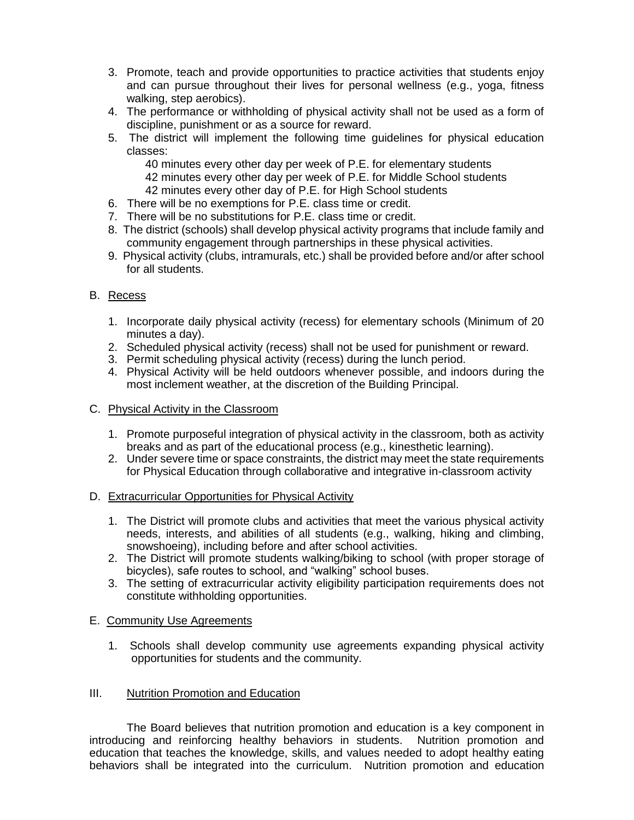- 3. Promote, teach and provide opportunities to practice activities that students enjoy and can pursue throughout their lives for personal wellness (e.g., yoga, fitness walking, step aerobics).
- 4. The performance or withholding of physical activity shall not be used as a form of discipline, punishment or as a source for reward.
- 5. The district will implement the following time guidelines for physical education classes:
	- 40 minutes every other day per week of P.E. for elementary students
	- 42 minutes every other day per week of P.E. for Middle School students
	- 42 minutes every other day of P.E. for High School students
- 6. There will be no exemptions for P.E. class time or credit.
- 7. There will be no substitutions for P.E. class time or credit.
- 8. The district (schools) shall develop physical activity programs that include family and community engagement through partnerships in these physical activities.
- 9. Physical activity (clubs, intramurals, etc.) shall be provided before and/or after school for all students.

### B. Recess

- 1. Incorporate daily physical activity (recess) for elementary schools (Minimum of 20 minutes a day).
- 2. Scheduled physical activity (recess) shall not be used for punishment or reward.
- 3. Permit scheduling physical activity (recess) during the lunch period.
- 4. Physical Activity will be held outdoors whenever possible, and indoors during the most inclement weather, at the discretion of the Building Principal.

### C. Physical Activity in the Classroom

- 1. Promote purposeful integration of physical activity in the classroom, both as activity breaks and as part of the educational process (e.g., kinesthetic learning).
- 2. Under severe time or space constraints, the district may meet the state requirements for Physical Education through collaborative and integrative in-classroom activity

## D. Extracurricular Opportunities for Physical Activity

- 1. The District will promote clubs and activities that meet the various physical activity needs, interests, and abilities of all students (e.g., walking, hiking and climbing, snowshoeing), including before and after school activities.
- 2. The District will promote students walking/biking to school (with proper storage of bicycles), safe routes to school, and "walking" school buses.
- 3. The setting of extracurricular activity eligibility participation requirements does not constitute withholding opportunities.

### E. Community Use Agreements

1. Schools shall develop community use agreements expanding physical activity opportunities for students and the community.

### III. Nutrition Promotion and Education

The Board believes that nutrition promotion and education is a key component in introducing and reinforcing healthy behaviors in students. Nutrition promotion and education that teaches the knowledge, skills, and values needed to adopt healthy eating behaviors shall be integrated into the curriculum. Nutrition promotion and education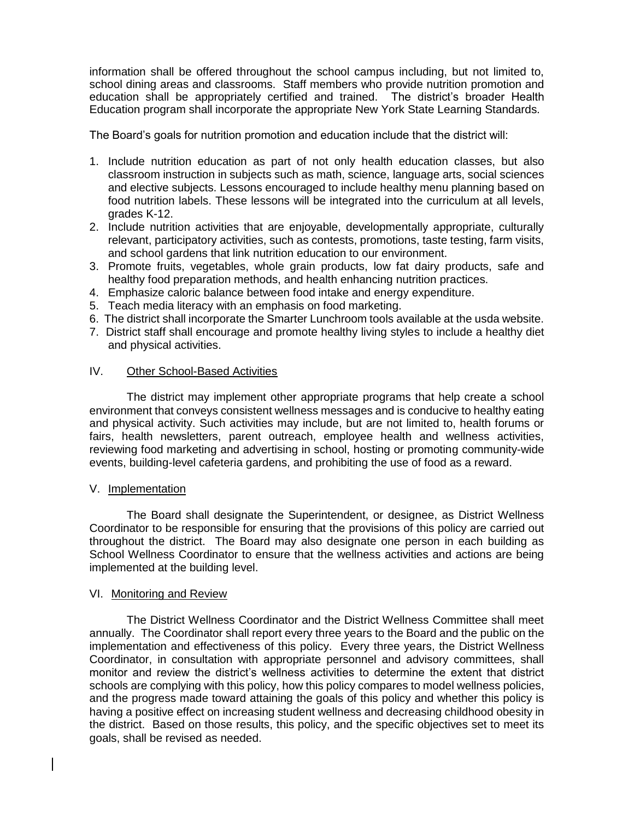information shall be offered throughout the school campus including, but not limited to, school dining areas and classrooms. Staff members who provide nutrition promotion and education shall be appropriately certified and trained. The district's broader Health Education program shall incorporate the appropriate New York State Learning Standards.

The Board's goals for nutrition promotion and education include that the district will:

- 1. Include nutrition education as part of not only health education classes, but also classroom instruction in subjects such as math, science, language arts, social sciences and elective subjects. Lessons encouraged to include healthy menu planning based on food nutrition labels. These lessons will be integrated into the curriculum at all levels, grades K-12.
- 2. Include nutrition activities that are enjoyable, developmentally appropriate, culturally relevant, participatory activities, such as contests, promotions, taste testing, farm visits, and school gardens that link nutrition education to our environment.
- 3. Promote fruits, vegetables, whole grain products, low fat dairy products, safe and healthy food preparation methods, and health enhancing nutrition practices.
- 4. Emphasize caloric balance between food intake and energy expenditure.
- 5. Teach media literacy with an emphasis on food marketing.
- 6. The district shall incorporate the Smarter Lunchroom tools available at the usda website.
- 7. District staff shall encourage and promote healthy living styles to include a healthy diet and physical activities.

### IV. Other School-Based Activities

The district may implement other appropriate programs that help create a school environment that conveys consistent wellness messages and is conducive to healthy eating and physical activity. Such activities may include, but are not limited to, health forums or fairs, health newsletters, parent outreach, employee health and wellness activities, reviewing food marketing and advertising in school, hosting or promoting community-wide events, building-level cafeteria gardens, and prohibiting the use of food as a reward.

### V. Implementation

The Board shall designate the Superintendent, or designee, as District Wellness Coordinator to be responsible for ensuring that the provisions of this policy are carried out throughout the district. The Board may also designate one person in each building as School Wellness Coordinator to ensure that the wellness activities and actions are being implemented at the building level.

### VI. Monitoring and Review

The District Wellness Coordinator and the District Wellness Committee shall meet annually. The Coordinator shall report every three years to the Board and the public on the implementation and effectiveness of this policy. Every three years, the District Wellness Coordinator, in consultation with appropriate personnel and advisory committees, shall monitor and review the district's wellness activities to determine the extent that district schools are complying with this policy, how this policy compares to model wellness policies, and the progress made toward attaining the goals of this policy and whether this policy is having a positive effect on increasing student wellness and decreasing childhood obesity in the district. Based on those results, this policy, and the specific objectives set to meet its goals, shall be revised as needed.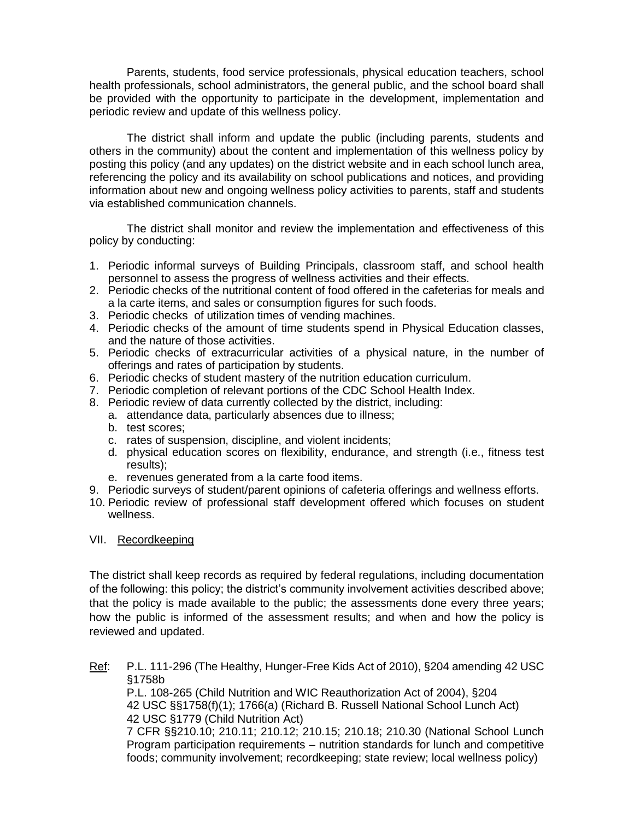Parents, students, food service professionals, physical education teachers, school health professionals, school administrators, the general public, and the school board shall be provided with the opportunity to participate in the development, implementation and periodic review and update of this wellness policy.

The district shall inform and update the public (including parents, students and others in the community) about the content and implementation of this wellness policy by posting this policy (and any updates) on the district website and in each school lunch area, referencing the policy and its availability on school publications and notices, and providing information about new and ongoing wellness policy activities to parents, staff and students via established communication channels.

The district shall monitor and review the implementation and effectiveness of this policy by conducting:

- 1. Periodic informal surveys of Building Principals, classroom staff, and school health personnel to assess the progress of wellness activities and their effects.
- 2. Periodic checks of the nutritional content of food offered in the cafeterias for meals and a la carte items, and sales or consumption figures for such foods.
- 3. Periodic checks of utilization times of vending machines.
- 4. Periodic checks of the amount of time students spend in Physical Education classes, and the nature of those activities.
- 5. Periodic checks of extracurricular activities of a physical nature, in the number of offerings and rates of participation by students.
- 6. Periodic checks of student mastery of the nutrition education curriculum.
- 7. Periodic completion of relevant portions of the CDC School Health Index.
- 8. Periodic review of data currently collected by the district, including:
	- a. attendance data, particularly absences due to illness;
	- b. test scores;
	- c. rates of suspension, discipline, and violent incidents;
	- d. physical education scores on flexibility, endurance, and strength (i.e., fitness test results);
	- e. revenues generated from a la carte food items.
- 9. Periodic surveys of student/parent opinions of cafeteria offerings and wellness efforts.
- 10. Periodic review of professional staff development offered which focuses on student wellness.

#### VII. Recordkeeping

The district shall keep records as required by federal regulations, including documentation of the following: this policy; the district's community involvement activities described above; that the policy is made available to the public; the assessments done every three years; how the public is informed of the assessment results; and when and how the policy is reviewed and updated.

Ref: P.L. 111-296 (The Healthy, Hunger-Free Kids Act of 2010), §204 amending 42 USC §1758b

P.L. 108-265 (Child Nutrition and WIC Reauthorization Act of 2004), §204 42 USC §§1758(f)(1); 1766(a) (Richard B. Russell National School Lunch Act) 42 USC §1779 (Child Nutrition Act)

7 CFR §§210.10; 210.11; 210.12; 210.15; 210.18; 210.30 (National School Lunch Program participation requirements – nutrition standards for lunch and competitive foods; community involvement; recordkeeping; state review; local wellness policy)